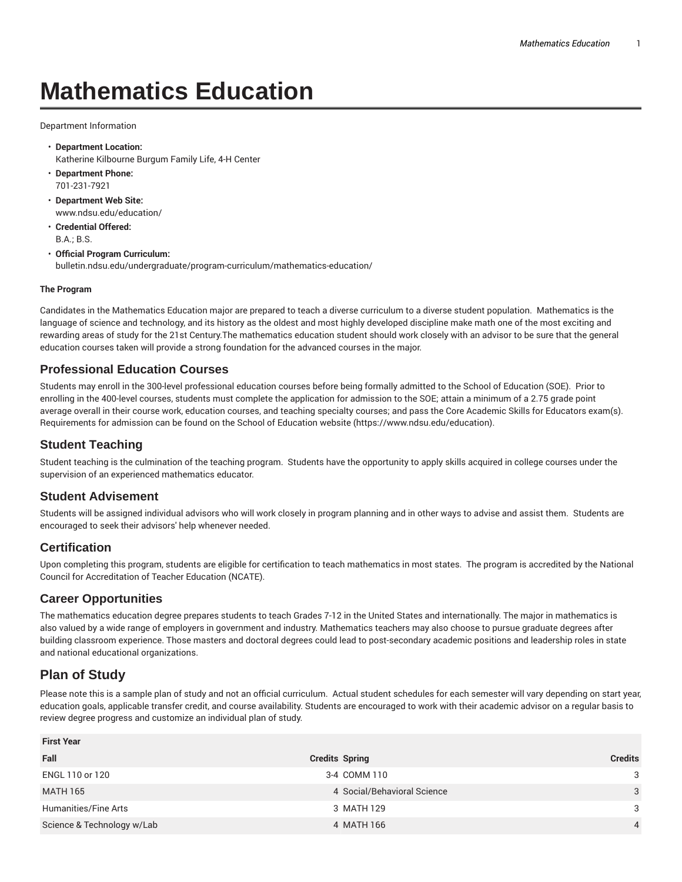# **Mathematics Education**

Department Information

- **Department Location:** Katherine Kilbourne Burgum Family Life, 4-H Center
- **Department Phone:** 701-231-7921
- **Department Web Site:** www.ndsu.edu/education/
- **Credential Offered:** B.A.; B.S.
- **Official Program Curriculum:** bulletin.ndsu.edu/undergraduate/program-curriculum/mathematics-education/

#### **The Program**

Candidates in the Mathematics Education major are prepared to teach a diverse curriculum to a diverse student population. Mathematics is the language of science and technology, and its history as the oldest and most highly developed discipline make math one of the most exciting and rewarding areas of study for the 21st Century.The mathematics education student should work closely with an advisor to be sure that the general education courses taken will provide a strong foundation for the advanced courses in the major.

#### **Professional Education Courses**

Students may enroll in the 300-level professional education courses before being formally admitted to the School of Education (SOE). Prior to enrolling in the 400-level courses, students must complete the application for admission to the SOE; attain a minimum of a 2.75 grade point average overall in their course work, education courses, and teaching specialty courses; and pass the Core Academic Skills for Educators exam(s). Requirements for admission can be found on the School of Education website (https://www.ndsu.edu/education).

### **Student Teaching**

Student teaching is the culmination of the teaching program. Students have the opportunity to apply skills acquired in college courses under the supervision of an experienced mathematics educator.

### **Student Advisement**

Students will be assigned individual advisors who will work closely in program planning and in other ways to advise and assist them. Students are encouraged to seek their advisors' help whenever needed.

### **Certification**

Upon completing this program, students are eligible for certification to teach mathematics in most states. The program is accredited by the National Council for Accreditation of Teacher Education (NCATE).

### **Career Opportunities**

The mathematics education degree prepares students to teach Grades 7-12 in the United States and internationally. The major in mathematics is also valued by a wide range of employers in government and industry. Mathematics teachers may also choose to pursue graduate degrees after building classroom experience. Those masters and doctoral degrees could lead to post-secondary academic positions and leadership roles in state and national educational organizations.

## **Plan of Study**

Please note this is a sample plan of study and not an official curriculum. Actual student schedules for each semester will vary depending on start year, education goals, applicable transfer credit, and course availability. Students are encouraged to work with their academic advisor on a regular basis to review degree progress and customize an individual plan of study.

| <b>First Year</b>          |                             |                |
|----------------------------|-----------------------------|----------------|
| Fall                       | <b>Credits Spring</b>       | <b>Credits</b> |
| ENGL 110 or 120            | 3-4 COMM 110                | 3              |
| MATH 165                   | 4 Social/Behavioral Science | 3              |
| Humanities/Fine Arts       | 3 MATH 129                  | 3              |
| Science & Technology w/Lab | 4 MATH 166                  | $\overline{4}$ |